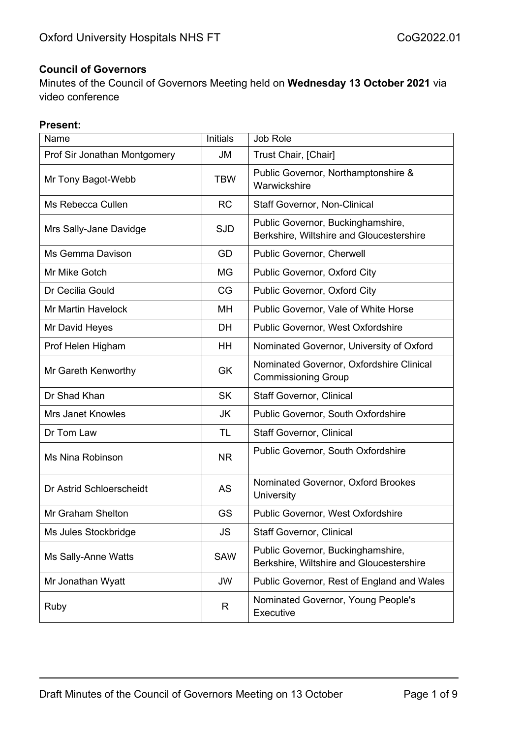#### **Council of Governors**

Minutes of the Council of Governors Meeting held on **Wednesday 13 October 2021** via video conference

#### **Present:**

| Name                         | <b>Initials</b> | Job Role                                                                      |
|------------------------------|-----------------|-------------------------------------------------------------------------------|
| Prof Sir Jonathan Montgomery | <b>JM</b>       | Trust Chair, [Chair]                                                          |
| Mr Tony Bagot-Webb           | <b>TBW</b>      | Public Governor, Northamptonshire &<br>Warwickshire                           |
| Ms Rebecca Cullen            | <b>RC</b>       | <b>Staff Governor, Non-Clinical</b>                                           |
| Mrs Sally-Jane Davidge       | <b>SJD</b>      | Public Governor, Buckinghamshire,<br>Berkshire, Wiltshire and Gloucestershire |
| Ms Gemma Davison             | GD              | Public Governor, Cherwell                                                     |
| Mr Mike Gotch                | MG              | Public Governor, Oxford City                                                  |
| Dr Cecilia Gould             | CG              | Public Governor, Oxford City                                                  |
| <b>Mr Martin Havelock</b>    | <b>MH</b>       | Public Governor, Vale of White Horse                                          |
| Mr David Heyes               | <b>DH</b>       | Public Governor, West Oxfordshire                                             |
| Prof Helen Higham            | HH              | Nominated Governor, University of Oxford                                      |
| Mr Gareth Kenworthy          | <b>GK</b>       | Nominated Governor, Oxfordshire Clinical<br><b>Commissioning Group</b>        |
| Dr Shad Khan                 | <b>SK</b>       | <b>Staff Governor, Clinical</b>                                               |
| <b>Mrs Janet Knowles</b>     | JK              | Public Governor, South Oxfordshire                                            |
| Dr Tom Law                   | <b>TL</b>       | <b>Staff Governor, Clinical</b>                                               |
| Ms Nina Robinson             | <b>NR</b>       | Public Governor, South Oxfordshire                                            |
| Dr Astrid Schloerscheidt     | AS              | Nominated Governor, Oxford Brookes<br>University                              |
| Mr Graham Shelton            | GS              | Public Governor, West Oxfordshire                                             |
| Ms Jules Stockbridge         | <b>JS</b>       | <b>Staff Governor, Clinical</b>                                               |
| Ms Sally-Anne Watts          | <b>SAW</b>      | Public Governor, Buckinghamshire,<br>Berkshire, Wiltshire and Gloucestershire |
| Mr Jonathan Wyatt            | JW              | Public Governor, Rest of England and Wales                                    |
| Ruby                         | R               | Nominated Governor, Young People's<br>Executive                               |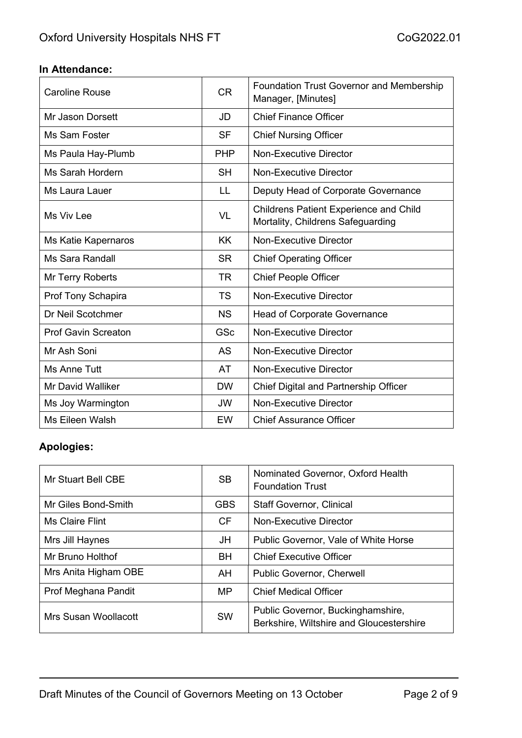### **In Attendance:**

| <b>Caroline Rouse</b>      | <b>CR</b>  | <b>Foundation Trust Governor and Membership</b><br>Manager, [Minutes]              |
|----------------------------|------------|------------------------------------------------------------------------------------|
| Mr Jason Dorsett           | JD         | <b>Chief Finance Officer</b>                                                       |
| Ms Sam Foster              | <b>SF</b>  | <b>Chief Nursing Officer</b>                                                       |
| Ms Paula Hay-Plumb         | <b>PHP</b> | <b>Non-Executive Director</b>                                                      |
| Ms Sarah Hordern           | <b>SH</b>  | <b>Non-Executive Director</b>                                                      |
| Ms Laura Lauer             | LL         | Deputy Head of Corporate Governance                                                |
| Ms Viv Lee                 | VL         | <b>Childrens Patient Experience and Child</b><br>Mortality, Childrens Safeguarding |
| Ms Katie Kapernaros        | <b>KK</b>  | <b>Non-Executive Director</b>                                                      |
| <b>Ms Sara Randall</b>     | <b>SR</b>  | <b>Chief Operating Officer</b>                                                     |
| Mr Terry Roberts           | <b>TR</b>  | <b>Chief People Officer</b>                                                        |
| Prof Tony Schapira         | <b>TS</b>  | <b>Non-Executive Director</b>                                                      |
| Dr Neil Scotchmer          | <b>NS</b>  | <b>Head of Corporate Governance</b>                                                |
| <b>Prof Gavin Screaton</b> | GSc        | <b>Non-Executive Director</b>                                                      |
| Mr Ash Soni                | AS         | <b>Non-Executive Director</b>                                                      |
| Ms Anne Tutt               | AT         | <b>Non-Executive Director</b>                                                      |
| <b>Mr David Walliker</b>   | <b>DW</b>  | Chief Digital and Partnership Officer                                              |
| Ms Joy Warmington          | <b>JW</b>  | <b>Non-Executive Director</b>                                                      |
| Ms Eileen Walsh            | <b>EW</b>  | <b>Chief Assurance Officer</b>                                                     |

# **Apologies:**

| Mr Stuart Bell CBE   | <b>SB</b>  | Nominated Governor, Oxford Health<br><b>Foundation Trust</b>                  |
|----------------------|------------|-------------------------------------------------------------------------------|
| Mr Giles Bond-Smith  | <b>GBS</b> | <b>Staff Governor, Clinical</b>                                               |
| Ms Claire Flint      | <b>CF</b>  | Non-Executive Director                                                        |
| Mrs Jill Haynes      | JH         | Public Governor, Vale of White Horse                                          |
| Mr Bruno Holthof     | <b>BH</b>  | <b>Chief Executive Officer</b>                                                |
| Mrs Anita Higham OBE | AH         | Public Governor, Cherwell                                                     |
| Prof Meghana Pandit  | <b>MP</b>  | <b>Chief Medical Officer</b>                                                  |
| Mrs Susan Woollacott | <b>SW</b>  | Public Governor, Buckinghamshire,<br>Berkshire, Wiltshire and Gloucestershire |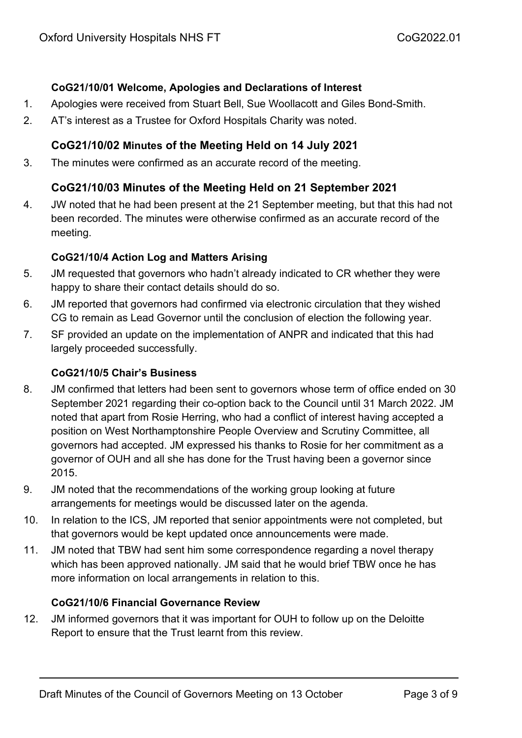### **CoG21/10/01 Welcome, Apologies and Declarations of Interest**

- 1. Apologies were received from Stuart Bell, Sue Woollacott and Giles Bond-Smith.
- 2. AT's interest as a Trustee for Oxford Hospitals Charity was noted.

# **CoG21/10/02 Minutes of the Meeting Held on 14 July 2021**

3. The minutes were confirmed as an accurate record of the meeting.

# **CoG21/10/03 Minutes of the Meeting Held on 21 September 2021**

4. JW noted that he had been present at the 21 September meeting, but that this had not been recorded. The minutes were otherwise confirmed as an accurate record of the meeting.

### **CoG21/10/4 Action Log and Matters Arising**

- 5. JM requested that governors who hadn't already indicated to CR whether they were happy to share their contact details should do so.
- 6. JM reported that governors had confirmed via electronic circulation that they wished CG to remain as Lead Governor until the conclusion of election the following year.
- 7. SF provided an update on the implementation of ANPR and indicated that this had largely proceeded successfully.

### **CoG21/10/5 Chair's Business**

- 8. JM confirmed that letters had been sent to governors whose term of office ended on 30 September 2021 regarding their co-option back to the Council until 31 March 2022. JM noted that apart from Rosie Herring, who had a conflict of interest having accepted a position on West Northamptonshire People Overview and Scrutiny Committee, all governors had accepted. JM expressed his thanks to Rosie for her commitment as a governor of OUH and all she has done for the Trust having been a governor since 2015.
- 9. JM noted that the recommendations of the working group looking at future arrangements for meetings would be discussed later on the agenda.
- 10. In relation to the ICS, JM reported that senior appointments were not completed, but that governors would be kept updated once announcements were made.
- 11. JM noted that TBW had sent him some correspondence regarding a novel therapy which has been approved nationally. JM said that he would brief TBW once he has more information on local arrangements in relation to this.

#### **CoG21/10/6 Financial Governance Review**

12. JM informed governors that it was important for OUH to follow up on the Deloitte Report to ensure that the Trust learnt from this review.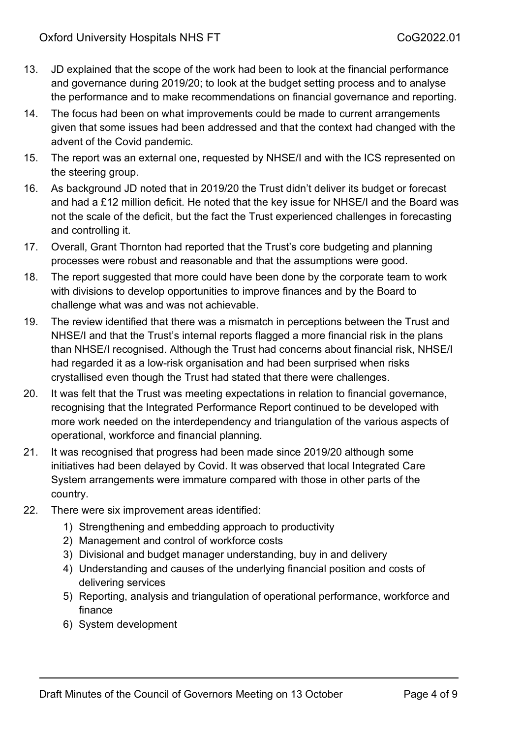- 13. JD explained that the scope of the work had been to look at the financial performance and governance during 2019/20; to look at the budget setting process and to analyse the performance and to make recommendations on financial governance and reporting.
- 14. The focus had been on what improvements could be made to current arrangements given that some issues had been addressed and that the context had changed with the advent of the Covid pandemic.
- 15. The report was an external one, requested by NHSE/I and with the ICS represented on the steering group.
- 16. As background JD noted that in 2019/20 the Trust didn't deliver its budget or forecast and had a £12 million deficit. He noted that the key issue for NHSE/I and the Board was not the scale of the deficit, but the fact the Trust experienced challenges in forecasting and controlling it.
- 17. Overall, Grant Thornton had reported that the Trust's core budgeting and planning processes were robust and reasonable and that the assumptions were good.
- 18. The report suggested that more could have been done by the corporate team to work with divisions to develop opportunities to improve finances and by the Board to challenge what was and was not achievable.
- 19. The review identified that there was a mismatch in perceptions between the Trust and NHSE/I and that the Trust's internal reports flagged a more financial risk in the plans than NHSE/I recognised. Although the Trust had concerns about financial risk, NHSE/I had regarded it as a low-risk organisation and had been surprised when risks crystallised even though the Trust had stated that there were challenges.
- 20. It was felt that the Trust was meeting expectations in relation to financial governance, recognising that the Integrated Performance Report continued to be developed with more work needed on the interdependency and triangulation of the various aspects of operational, workforce and financial planning.
- 21. It was recognised that progress had been made since 2019/20 although some initiatives had been delayed by Covid. It was observed that local Integrated Care System arrangements were immature compared with those in other parts of the country.
- 22. There were six improvement areas identified:
	- 1) Strengthening and embedding approach to productivity
	- 2) Management and control of workforce costs
	- 3) Divisional and budget manager understanding, buy in and delivery
	- 4) Understanding and causes of the underlying financial position and costs of delivering services
	- 5) Reporting, analysis and triangulation of operational performance, workforce and finance
	- 6) System development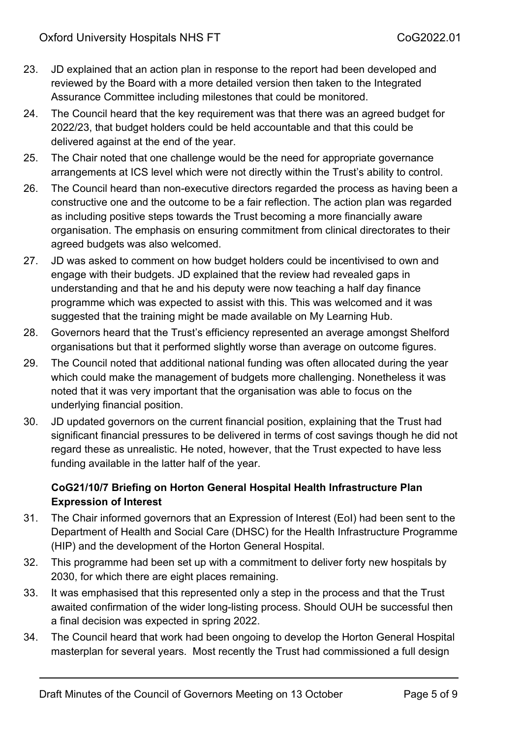- 23. JD explained that an action plan in response to the report had been developed and reviewed by the Board with a more detailed version then taken to the Integrated Assurance Committee including milestones that could be monitored.
- 24. The Council heard that the key requirement was that there was an agreed budget for 2022/23, that budget holders could be held accountable and that this could be delivered against at the end of the year.
- 25. The Chair noted that one challenge would be the need for appropriate governance arrangements at ICS level which were not directly within the Trust's ability to control.
- 26. The Council heard than non-executive directors regarded the process as having been a constructive one and the outcome to be a fair reflection. The action plan was regarded as including positive steps towards the Trust becoming a more financially aware organisation. The emphasis on ensuring commitment from clinical directorates to their agreed budgets was also welcomed.
- 27. JD was asked to comment on how budget holders could be incentivised to own and engage with their budgets. JD explained that the review had revealed gaps in understanding and that he and his deputy were now teaching a half day finance programme which was expected to assist with this. This was welcomed and it was suggested that the training might be made available on My Learning Hub.
- 28. Governors heard that the Trust's efficiency represented an average amongst Shelford organisations but that it performed slightly worse than average on outcome figures.
- 29. The Council noted that additional national funding was often allocated during the year which could make the management of budgets more challenging. Nonetheless it was noted that it was very important that the organisation was able to focus on the underlying financial position.
- 30. JD updated governors on the current financial position, explaining that the Trust had significant financial pressures to be delivered in terms of cost savings though he did not regard these as unrealistic. He noted, however, that the Trust expected to have less funding available in the latter half of the year.

# **CoG21/10/7 Briefing on Horton General Hospital Health Infrastructure Plan Expression of Interest**

- 31. The Chair informed governors that an Expression of Interest (EoI) had been sent to the Department of Health and Social Care (DHSC) for the Health Infrastructure Programme (HIP) and the development of the Horton General Hospital.
- 32. This programme had been set up with a commitment to deliver forty new hospitals by 2030, for which there are eight places remaining.
- 33. It was emphasised that this represented only a step in the process and that the Trust awaited confirmation of the wider long-listing process. Should OUH be successful then a final decision was expected in spring 2022.
- 34. The Council heard that work had been ongoing to develop the Horton General Hospital masterplan for several years. Most recently the Trust had commissioned a full design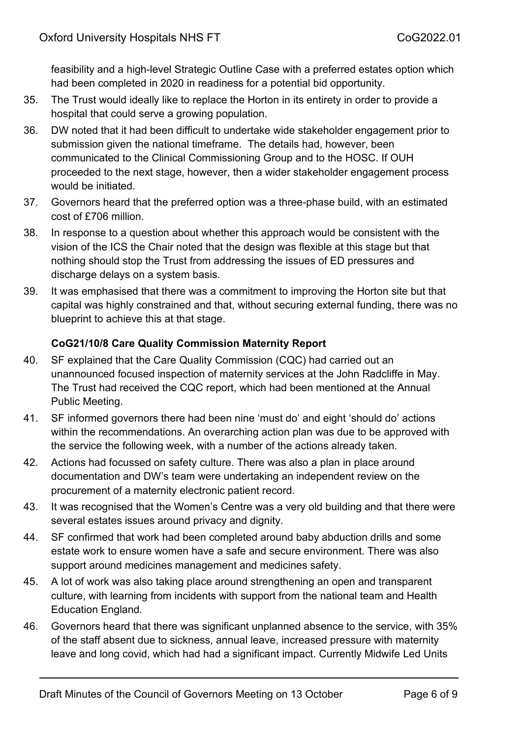feasibility and a high-level Strategic Outline Case with a preferred estates option which had been completed in 2020 in readiness for a potential bid opportunity.

- 35. The Trust would ideally like to replace the Horton in its entirety in order to provide a hospital that could serve a growing population.
- 36. DW noted that it had been difficult to undertake wide stakeholder engagement prior to submission given the national timeframe. The details had, however, been communicated to the Clinical Commissioning Group and to the HOSC. If OUH proceeded to the next stage, however, then a wider stakeholder engagement process would be initiated.
- 37. Governors heard that the preferred option was a three-phase build, with an estimated cost of £706 million.
- 38. In response to a question about whether this approach would be consistent with the vision of the ICS the Chair noted that the design was flexible at this stage but that nothing should stop the Trust from addressing the issues of ED pressures and discharge delays on a system basis.
- 39. It was emphasised that there was a commitment to improving the Horton site but that capital was highly constrained and that, without securing external funding, there was no blueprint to achieve this at that stage.

# **CoG21/10/8 Care Quality Commission Maternity Report**

- 40. SF explained that the Care Quality Commission (CQC) had carried out an unannounced focused inspection of maternity services at the John Radcliffe in May. The Trust had received the CQC report, which had been mentioned at the Annual Public Meeting.
- 41. SF informed governors there had been nine 'must do' and eight 'should do' actions within the recommendations. An overarching action plan was due to be approved with the service the following week, with a number of the actions already taken.
- 42. Actions had focussed on safety culture. There was also a plan in place around documentation and DW's team were undertaking an independent review on the procurement of a maternity electronic patient record.
- 43. It was recognised that the Women's Centre was a very old building and that there were several estates issues around privacy and dignity.
- 44. SF confirmed that work had been completed around baby abduction drills and some estate work to ensure women have a safe and secure environment. There was also support around medicines management and medicines safety.
- 45. A lot of work was also taking place around strengthening an open and transparent culture, with learning from incidents with support from the national team and Health Education England.
- 46. Governors heard that there was significant unplanned absence to the service, with 35% of the staff absent due to sickness, annual leave, increased pressure with maternity leave and long covid, which had had a significant impact. Currently Midwife Led Units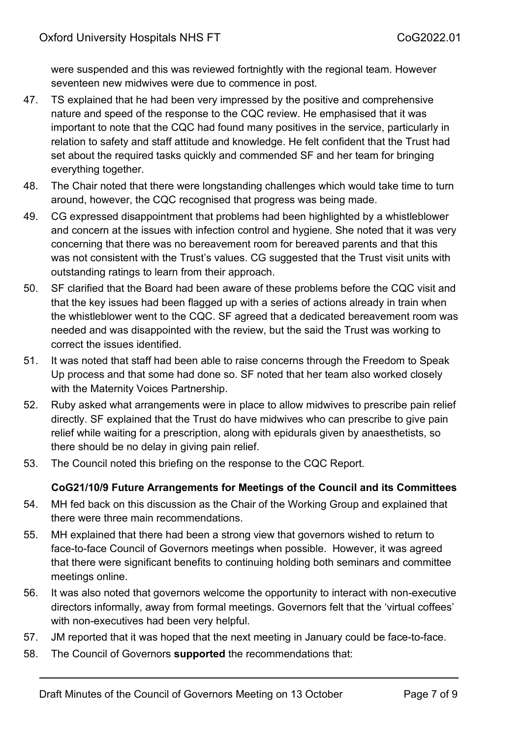were suspended and this was reviewed fortnightly with the regional team. However seventeen new midwives were due to commence in post.

- 47. TS explained that he had been very impressed by the positive and comprehensive nature and speed of the response to the CQC review. He emphasised that it was important to note that the CQC had found many positives in the service, particularly in relation to safety and staff attitude and knowledge. He felt confident that the Trust had set about the required tasks quickly and commended SF and her team for bringing everything together.
- 48. The Chair noted that there were longstanding challenges which would take time to turn around, however, the CQC recognised that progress was being made.
- 49. CG expressed disappointment that problems had been highlighted by a whistleblower and concern at the issues with infection control and hygiene. She noted that it was very concerning that there was no bereavement room for bereaved parents and that this was not consistent with the Trust's values. CG suggested that the Trust visit units with outstanding ratings to learn from their approach.
- 50. SF clarified that the Board had been aware of these problems before the CQC visit and that the key issues had been flagged up with a series of actions already in train when the whistleblower went to the CQC. SF agreed that a dedicated bereavement room was needed and was disappointed with the review, but the said the Trust was working to correct the issues identified.
- 51. It was noted that staff had been able to raise concerns through the Freedom to Speak Up process and that some had done so. SF noted that her team also worked closely with the Maternity Voices Partnership.
- 52. Ruby asked what arrangements were in place to allow midwives to prescribe pain relief directly. SF explained that the Trust do have midwives who can prescribe to give pain relief while waiting for a prescription, along with epidurals given by anaesthetists, so there should be no delay in giving pain relief.
- 53. The Council noted this briefing on the response to the CQC Report.

# **CoG21/10/9 Future Arrangements for Meetings of the Council and its Committees**

- 54. MH fed back on this discussion as the Chair of the Working Group and explained that there were three main recommendations.
- 55. MH explained that there had been a strong view that governors wished to return to face-to-face Council of Governors meetings when possible. However, it was agreed that there were significant benefits to continuing holding both seminars and committee meetings online.
- 56. It was also noted that governors welcome the opportunity to interact with non-executive directors informally, away from formal meetings. Governors felt that the 'virtual coffees' with non-executives had been very helpful.
- 57. JM reported that it was hoped that the next meeting in January could be face-to-face.
- 58. The Council of Governors **supported** the recommendations that: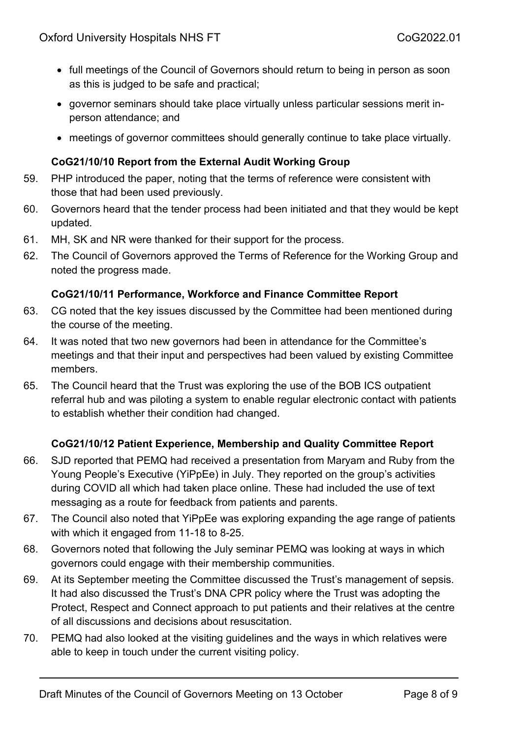- full meetings of the Council of Governors should return to being in person as soon as this is judged to be safe and practical;
- governor seminars should take place virtually unless particular sessions merit inperson attendance; and
- meetings of governor committees should generally continue to take place virtually.

### **CoG21/10/10 Report from the External Audit Working Group**

- 59. PHP introduced the paper, noting that the terms of reference were consistent with those that had been used previously.
- 60. Governors heard that the tender process had been initiated and that they would be kept updated.
- 61. MH, SK and NR were thanked for their support for the process.
- 62. The Council of Governors approved the Terms of Reference for the Working Group and noted the progress made.

### **CoG21/10/11 Performance, Workforce and Finance Committee Report**

- 63. CG noted that the key issues discussed by the Committee had been mentioned during the course of the meeting.
- 64. It was noted that two new governors had been in attendance for the Committee's meetings and that their input and perspectives had been valued by existing Committee members.
- 65. The Council heard that the Trust was exploring the use of the BOB ICS outpatient referral hub and was piloting a system to enable regular electronic contact with patients to establish whether their condition had changed.

# **CoG21/10/12 Patient Experience, Membership and Quality Committee Report**

- 66. SJD reported that PEMQ had received a presentation from Maryam and Ruby from the Young People's Executive (YiPpEe) in July. They reported on the group's activities during COVID all which had taken place online. These had included the use of text messaging as a route for feedback from patients and parents.
- 67. The Council also noted that YiPpEe was exploring expanding the age range of patients with which it engaged from 11-18 to 8-25.
- 68. Governors noted that following the July seminar PEMQ was looking at ways in which governors could engage with their membership communities.
- 69. At its September meeting the Committee discussed the Trust's management of sepsis. It had also discussed the Trust's DNA CPR policy where the Trust was adopting the Protect, Respect and Connect approach to put patients and their relatives at the centre of all discussions and decisions about resuscitation.
- 70. PEMQ had also looked at the visiting guidelines and the ways in which relatives were able to keep in touch under the current visiting policy.